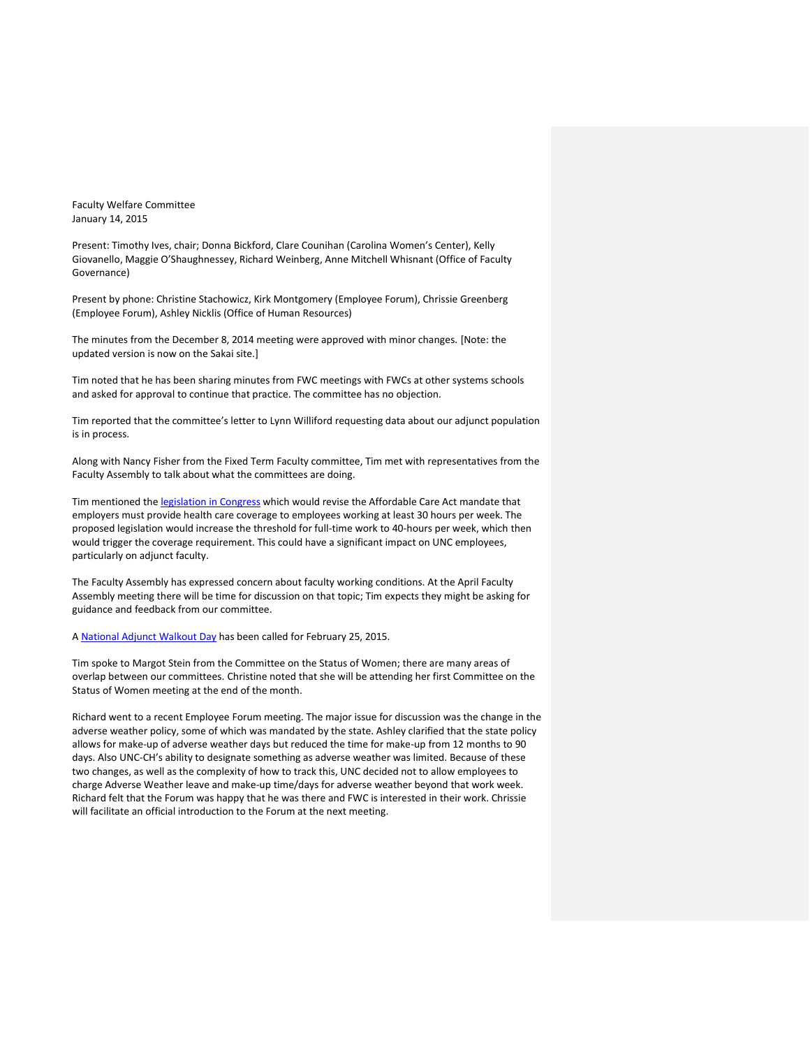Faculty Welfare Committee January 14, 2015

Present: Timothy Ives, chair; Donna Bickford, Clare Counihan (Carolina Women's Center), Kelly Giovanello, Maggie O'Shaughnessey, Richard Weinberg, Anne Mitchell Whisnant (Office of Faculty Governance)

Present by phone: Christine Stachowicz, Kirk Montgomery (Employee Forum), Chrissie Greenberg (Employee Forum), Ashley Nicklis (Office of Human Resources)

The minutes from the December 8, 2014 meeting were approved with minor changes. [Note: the updated version is now on the Sakai site.]

Tim noted that he has been sharing minutes from FWC meetings with FWCs at other systems schools and asked for approval to continue that practice. The committee has no objection.

Tim reported that the committee's letter to Lynn Williford requesting data about our adjunct population is in process.

Along with Nancy Fisher from the Fixed Term Faculty committee, Tim met with representatives from the Faculty Assembly to talk about what the committees are doing.

Tim mentioned the [legislation in Congress](https://www.insidehighered.com/news/2015/01/08/new-congress-seeks-redefine-full-time-work-health-law-which-colleges-support) which would revise the Affordable Care Act mandate that employers must provide health care coverage to employees working at least 30 hours per week. The proposed legislation would increase the threshold for full-time work to 40-hours per week, which then would trigger the coverage requirement. This could have a significant impact on UNC employees, particularly on adjunct faculty.

The Faculty Assembly has expressed concern about faculty working conditions. At the April Faculty Assembly meeting there will be time for discussion on that topic; Tim expects they might be asking for guidance and feedback from our committee.

A [National Adjunct Walkout Day](http://cpfa.org/interview-national-adjunct-walkout-day/) has been called for February 25, 2015.

Tim spoke to Margot Stein from the Committee on the Status of Women; there are many areas of overlap between our committees. Christine noted that she will be attending her first Committee on the Status of Women meeting at the end of the month.

Richard went to a recent Employee Forum meeting. The major issue for discussion was the change in the adverse weather policy, some of which was mandated by the state. Ashley clarified that the state policy allows for make-up of adverse weather days but reduced the time for make-up from 12 months to 90 days. Also UNC-CH's ability to designate something as adverse weather was limited. Because of these two changes, as well as the complexity of how to track this, UNC decided not to allow employees to charge Adverse Weather leave and make-up time/days for adverse weather beyond that work week. Richard felt that the Forum was happy that he was there and FWC is interested in their work. Chrissie will facilitate an official introduction to the Forum at the next meeting.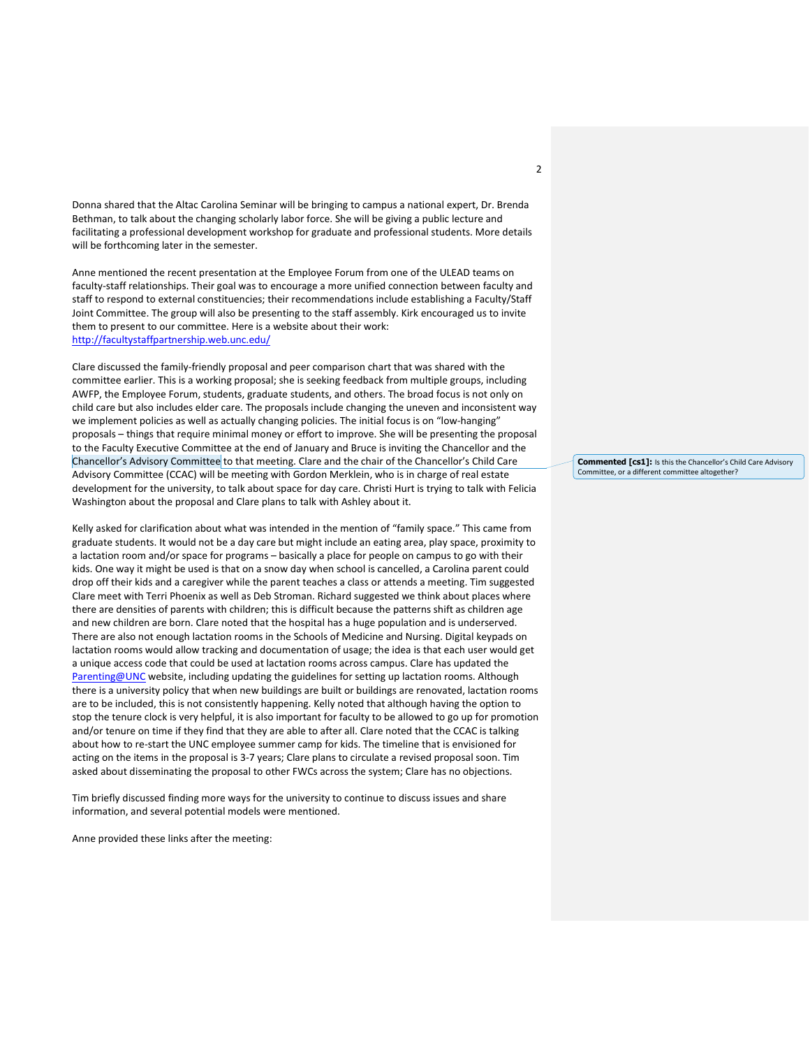Donna shared that the Altac Carolina Seminar will be bringing to campus a national expert, Dr. Brenda Bethman, to talk about the changing scholarly labor force. She will be giving a public lecture and facilitating a professional development workshop for graduate and professional students. More details will be forthcoming later in the semester.

Anne mentioned the recent presentation at the Employee Forum from one of the ULEAD teams on faculty-staff relationships. Their goal was to encourage a more unified connection between faculty and staff to respond to external constituencies; their recommendations include establishing a Faculty/Staff Joint Committee. The group will also be presenting to the staff assembly. Kirk encouraged us to invite them to present to our committee. Here is a website about their work: <http://facultystaffpartnership.web.unc.edu/>

Clare discussed the family-friendly proposal and peer comparison chart that was shared with the committee earlier. This is a working proposal; she is seeking feedback from multiple groups, including AWFP, the Employee Forum, students, graduate students, and others. The broad focus is not only on child care but also includes elder care. The proposals include changing the uneven and inconsistent way we implement policies as well as actually changing policies. The initial focus is on "low-hanging" proposals – things that require minimal money or effort to improve. She will be presenting the proposal to the Faculty Executive Committee at the end of January and Bruce is inviting the Chancellor and the Chancellor's Advisory Committee to that meeting. Clare and the chair of the Chancellor's Child Care Advisory Committee (CCAC) will be meeting with Gordon Merklein, who is in charge of real estate development for the university, to talk about space for day care. Christi Hurt is trying to talk with Felicia Washington about the proposal and Clare plans to talk with Ashley about it.

Kelly asked for clarification about what was intended in the mention of "family space." This came from graduate students. It would not be a day care but might include an eating area, play space, proximity to a lactation room and/or space for programs – basically a place for people on campus to go with their kids. One way it might be used is that on a snow day when school is cancelled, a Carolina parent could drop off their kids and a caregiver while the parent teaches a class or attends a meeting. Tim suggested Clare meet with Terri Phoenix as well as Deb Stroman. Richard suggested we think about places where there are densities of parents with children; this is difficult because the patterns shift as children age and new children are born. Clare noted that the hospital has a huge population and is underserved. There are also not enough lactation rooms in the Schools of Medicine and Nursing. Digital keypads on lactation rooms would allow tracking and documentation of usage; the idea is that each user would get a unique access code that could be used at lactation rooms across campus. Clare has updated the [Parenting@UNC](http://womenscenter.unc.edu/resources/parenting/) website, including updating the guidelines for setting up lactation rooms. Although there is a university policy that when new buildings are built or buildings are renovated, lactation rooms are to be included, this is not consistently happening. Kelly noted that although having the option to stop the tenure clock is very helpful, it is also important for faculty to be allowed to go up for promotion and/or tenure on time if they find that they are able to after all. Clare noted that the CCAC is talking about how to re-start the UNC employee summer camp for kids. The timeline that is envisioned for acting on the items in the proposal is 3-7 years; Clare plans to circulate a revised proposal soon. Tim asked about disseminating the proposal to other FWCs across the system; Clare has no objections.

Tim briefly discussed finding more ways for the university to continue to discuss issues and share information, and several potential models were mentioned.

Anne provided these links after the meeting:

**Commented [cs1]:** Is this the Chancellor's Child Care Advisory Committee, or a different committee altogether?